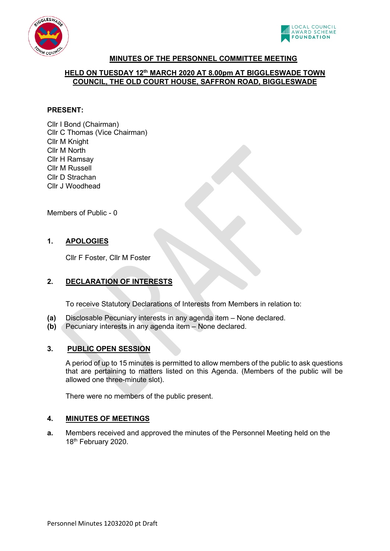



# **MINUTES OF THE PERSONNEL COMMITTEE MEETING**

# **HELD ON TUESDAY 12th MARCH 2020 AT 8.00pm AT BIGGLESWADE TOWN COUNCIL, THE OLD COURT HOUSE, SAFFRON ROAD, BIGGLESWADE**

# **PRESENT:**

Cllr I Bond (Chairman) Cllr C Thomas (Vice Chairman) Cllr M Knight Cllr M North Cllr H Ramsay Cllr M Russell Cllr D Strachan Cllr J Woodhead

Members of Public - 0

# **1. APOLOGIES**

Cllr F Foster, Cllr M Foster

# **2. DECLARATION OF INTERESTS**

To receive Statutory Declarations of Interests from Members in relation to:

- **(a)** Disclosable Pecuniary interests in any agenda item None declared.
- **(b)** Pecuniary interests in any agenda item None declared.

# **3. PUBLIC OPEN SESSION**

A period of up to 15 minutes is permitted to allow members of the public to ask questions that are pertaining to matters listed on this Agenda. (Members of the public will be allowed one three-minute slot).

There were no members of the public present.

# **4. MINUTES OF MEETINGS**

**a.** Members received and approved the minutes of the Personnel Meeting held on the 18<sup>th</sup> February 2020.